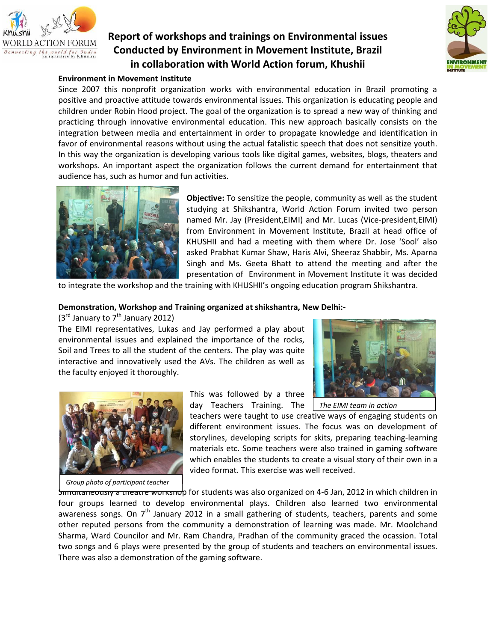

## **Report of workshops and trainings on Environmental issues Conducted by Environment in Movement Institute, Brazil in collaboration with World Action forum, Khushii**



### **Environment in Movement Institute**

Since 2007 this nonprofit organization works with environmental education in Brazil promoting a positive and proactive attitude towards environmental issues. This organization is educating people and children under Robin Hood project. The goal of the organization is to spread a new way of thinking and practicing through innovative environmental education. This new approach basically consists on the integration between media and entertainment in order to propagate knowledge and identification in favor of environmental reasons without using the actual fatalistic speech that does not sensitize youth. In this way the organization is developing various tools like digital games, websites, blogs, theaters and workshops. An important aspect the organization follows the current demand for entertainment that audience has, such as humor and fun activities.



**Objective:** To sensitize the people, community as well as the student studying at Shikshantra, World Action Forum invited two person named Mr. Jay (President,EIMI) and Mr. Lucas (Vice-president,EIMI) from Environment in Movement Institute, Brazil at head office of KHUSHII and had a meeting with them where Dr. Jose 'Sool' also asked Prabhat Kumar Shaw, Haris Alvi, Sheeraz Shabbir, Ms. Aparna Singh and Ms. Geeta Bhatt to attend the meeting and after the presentation of Environment in Movement Institute it was decided

to integrate the workshop and the training with KHUSHII's ongoing education program Shikshantra.

#### **Demonstration, Workshop and Training organized at shikshantra, New Delhi:-**

 $(3<sup>rd</sup>$  January to  $7<sup>th</sup>$  January 2012)

The EIMI representatives, Lukas and Jay performed a play about environmental issues and explained the importance of the rocks, Soil and Trees to all the student of the centers. The play was quite interactive and innovatively used the AVs. The children as well as the faculty enjoyed it thoroughly.



*The EIMI team in action*



*Group photo of participant teacher*

day Teachers Training. The teachers were taught to use creative ways of engaging students on

This was followed by a three

different environment issues. The focus was on development of storylines, developing scripts for skits, preparing teaching-learning materials etc. Some teachers were also trained in gaming software which enables the students to create a visual story of their own in a video format. This exercise was well received.

S<del>imultaneously a theatre workshop</del> for students was also organized on 4-6 Jan, 2012 in which children in four groups learned to develop environmental plays. Children also learned two environmental awareness songs. On 7<sup>th</sup> January 2012 in a small gathering of students, teachers, parents and some other reputed persons from the community a demonstration of learning was made. Mr. Moolchand Sharma, Ward Councilor and Mr. Ram Chandra, Pradhan of the community graced the ocassion. Total two songs and 6 plays were presented by the group of students and teachers on environmental issues. There was also a demonstration of the gaming software.